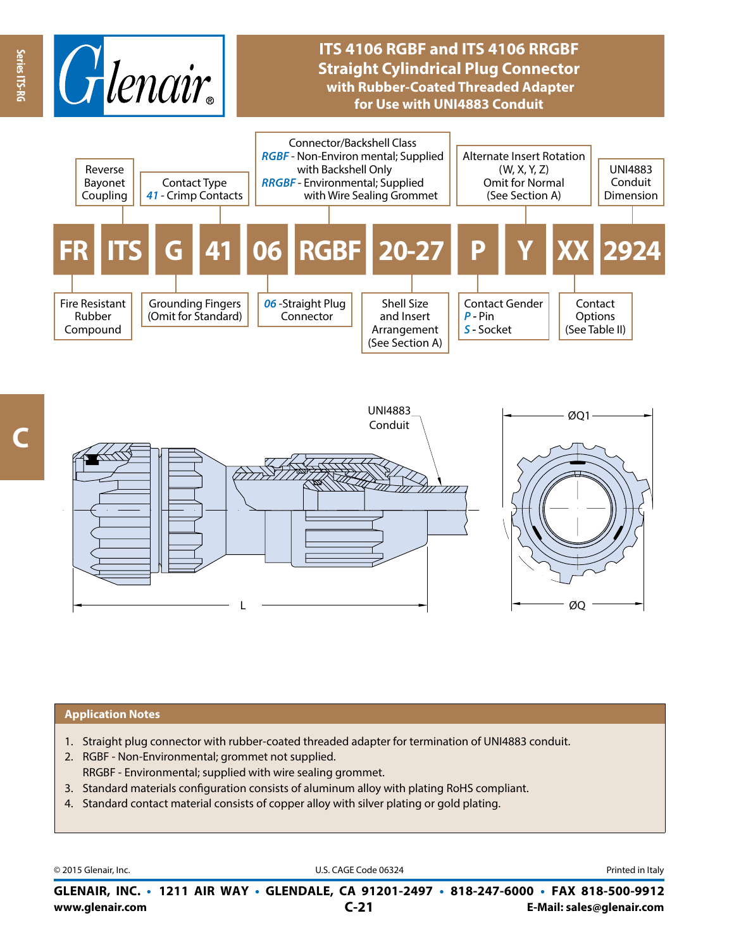

## **ITS 4106 RGBF and ITS 4106 RRGBF Straight Cylindrical Plug Connector with Rubber-Coated Threaded Adapter for Use with UNI4883 Conduit**



**Series ITS-RG**

Series ITS-RC



## **Application Notes**

- 1. Straight plug connector with rubber-coated threaded adapter for termination of UNI4883 conduit.
- 2. RGBF Non-Environmental; grommet not supplied. RRGBF - Environmental; supplied with wire sealing grommet.
- 3. Standard materials configuration consists of aluminum alloy with plating RoHS compliant.
- 4. Standard contact material consists of copper alloy with silver plating or gold plating.

© 2015 Glenair, Inc. **Discription Construction Construction Construction Construction Construction Construction Construction Construction Construction Construction Construction Construction Construction Construction Constr** 

**www.glenair.com E-Mail: sales@glenair.com GLENAIR, INC. • 1211 AIR WAY • GLENDALE, CA 91201-2497 • 818-247-6000 • FAX 818-500-9912 C-21**